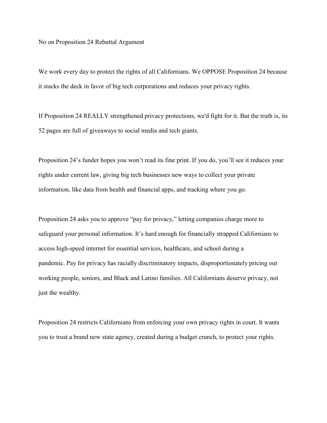No on Proposition 24 Rebuttal Argument

We work every day to protect the rights of all Californians. We OPPOSE Proposition 24 because it stacks the deck in favor of big tech corporations and reduces your privacy rights.

If Proposition 24 REALLY strengthened privacy protections, we'd fight for it. But the truth is, its 52 pages are full of giveaways to social media and tech giants.

Proposition 24's funder hopes you won't read its fine print. If you do, you'll see it reduces your rights under current law, giving big tech businesses new ways to collect your private information, like data from health and financial apps, and tracking where you go.

Proposition 24 asks you to approve "pay for privacy," letting companies charge more to safeguard your personal information. It's hard enough for financially strapped Californians to access high-speed internet for essential services, healthcare, and school during a pandemic. Pay for privacy has racially discriminatory impacts, disproportionately pricing out working people, seniors, and Black and Latino families. All Californians deserve privacy, not just the wealthy.

Proposition 24 restricts Californians from enforcing your own privacy rights in court. It wants you to trust a brand new state agency, created during a budget crunch, to protect your rights.